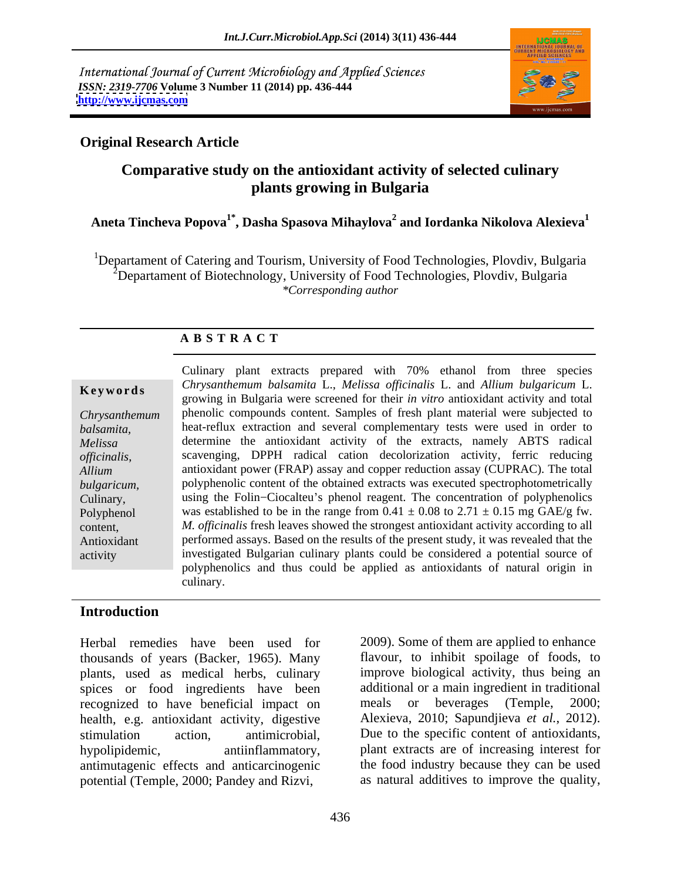International Journal of Current Microbiology and Applied Sciences *ISSN: 2319-7706* **Volume 3 Number 11 (2014) pp. 436-444 <http://www.ijcmas.com>**



## **Original Research Article**

# **Comparative study on the antioxidant activity of selected culinary plants growing in Bulgaria**

## **Aneta Tincheva Popova1\*, Dasha Spasova Mihaylova2 and Iordanka Nikolova Alexieva<sup>1</sup>**

<sup>1</sup>Departament of Catering and Tourism, University of Food Technologies, Plovdiv, Bulgaria <sup>2</sup>Departament of Biotechnology, University of Food Technologies, Plovdiv, Bulgaria *\*Corresponding author*

### **A B S T R A C T**

*officinalis*,

**Keywords**<br>
growing in Bulgaria were screened for their *in vitro* antioxidant activity and total<br>
growing in Bulgaria were screened for their *in vitro* antioxidant activity and total *Chrysanthemum*  phenolic compounds content. Samples of fresh plant material were subjected to *balsamita,*  heat-reflux extraction and several complementary tests were used in order to *Melissa*  determine the antioxidant activity of the extracts, namely ABTS radical *Allium*  antioxidant power (FRAP) assay and copper reduction assay (CUPRAC). The total *bulgaricum,*  polyphenolic content of the obtained extracts was executed spectrophotometrically *Culinary*, using the Folin-Ciocalteu's phenol reagent. The concentration of polyphenolics Polyphenol was established to be in the range from  $0.41 \pm 0.08$  to  $2.71 \pm 0.15$  mg GAE/g fw. content, *M. officinalis* fresh leaves showed the strongest antioxidant activity according to all Antioxidant performed assays. Based on the results of the present study, it was revealed that the activity investigated Bulgarian culinary plants could be considered a potential source of Culinary plant extracts prepared with 70% ethanol from three species *Chrysanthemum balsamita* L., *Melissa of icinalis* L. and *Allium bulgaricum* L. scavenging, DPPH radical cation decolorization activity, ferric reducing polyphenolics and thus could be applied as antioxidants of natural origin in culinary.

## **Introduction**

Herbal remedies have been used for 2009). Some of them are applied to enhance thousands of years (Backer, 1965). Many plants, used as medical herbs, culinary spices or food ingredients have been additional or a main ingredient in transponsized to have beneficial impact on meals or beverages (Temple, recognized to have beneficial impact on meals or beverages (Temple, 2000; health, e.g. antioxidant activity, digestive stimulation action, antimicrobial, Due to the specific content of antioxidants, hypolipidemic, antiinflammatory, plant extracts are of increasing interest for antimutagenic effects and anticarcinogenic Herbal remedies have been used for 2009). Some of them are applied to enhance<br>thousands of years (Backer, 1965). Many flavour, to inhibit spoilage of foods, to<br>plants, used as medical herbs, culinary improve biological act

flavour, to inhibit spoilage of foods, to improve biological activity, thus being an additional or a main ingredient in traditional meals or beverages (Temple, 2000; Alexieva, 2010; Sapundjieva *et al.*, 2012). the food industry because they can be used as natural additives to improve the quality,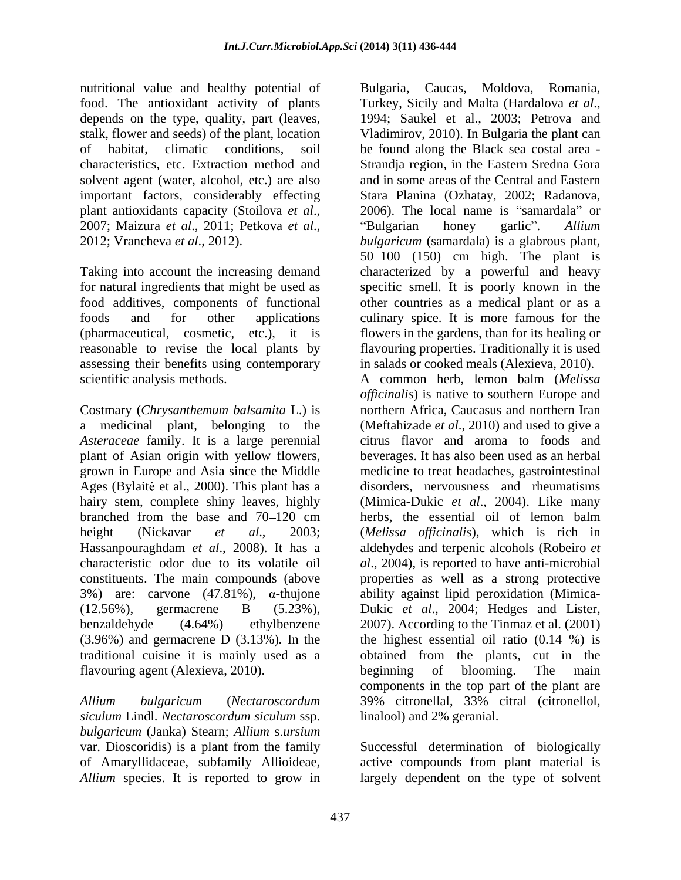nutritional value and healthy potential of food. The antioxidant activity of plants depends on the type, quality, part (leaves,

assessing their benefits using contemporary scientific analysis methods. A common herb, lemon balm (Melissa

*Asteraceae* family. It is a large perennial plant of Asian origin with yellow flowers, grown in Europe and Asia since the Middle (12.56%), germacrene B (5.23%), Dukic et al., 2004; Hedges and Lister, benzaldehyde (4.64%) ethylbenzene 2007). According to the Tinmaz et al. (2001) flavouring agent (Alexieva, 2010). beginning of blooming. The main

*Allium bulgaricum* (*Nectaroscordum siculum* Lindl. *Nectaroscordum siculum* ssp. *bulgaricum* (Janka) Stearn; *Allium* s.*ursium* var. Dioscoridis) is a plant from the family Successful determination of biologically of Amaryllidaceae, subfamily Allioideae, active compounds from plant material is

stalk, flower and seeds) of the plant, location Vladimirov, 2010). In Bulgaria the plant can of habitat, climatic conditions, soil be found along the Black sea costal area characteristics, etc. Extraction method and Strandja region, in the Eastern Sredna Gora solvent agent (water, alcohol, etc.) are also and in some areas of the Central and Eastern important factors, considerably effecting Stara Planina (Ozhatay, 2002; Radanova, plant antioxidants capacity (Stoilova *et al*., 2007; Maizura *et al*., 2011; Petkova *et al*., 2012; Vrancheva *et al*., 2012). Taking into account the increasing demand characterized by a powerful and heavy for natural ingredients that might be used as specific smell. It is poorly known in the food additives, components of functional other countries as a medical plant or as a foods and for other applications culinary spice. It is more famous for the (pharmaceutical, cosmetic, etc.), it is flowers in the gardens, than for its healing or reasonable to revise the local plants by flavouring properties. Traditionally it is used Costmary (*Chrysanthemum balsamita* L.) is northern Africa, Caucasus and northern Iran a medicinal plant, belonging to the (Meftahizade *et al*., 2010) and used to give a Ages (Bylaite et al., 2000). This plant has a disorders, nervousness and rheumatisms hairy stem, complete shiny leaves, highly (Mimica-Dukic *et al*., 2004). Like many branched from the base and 70 120 cm herbs, the essential oil of lemon balm height (Nickavar *et al*., 2003; (*Melissa of icinalis*), which is rich in Hassanpouraghdam *et al*., 2008). It has a aldehydes and terpenic alcohols (Robeiro *et*  characteristic odor due to its volatile oil *al*., 2004), is reported to have anti-microbial constituents. The main compounds (above properties as well as a strong protective  $3\%$ ) are: carvone (47.81%),  $\alpha$ -thujone ability against lipid peroxidation (Mimica-(3.96%) and germacrene D (3.13%)*.* In the the highest essential oil ratio (0.14 %) is traditional cuisine it is mainly used as a obtained from the plants, cut in the Bulgaria, Caucas, Moldova, Romania, Turkey, Sicily and Malta (Hardalova *et al*., 1994; Saukel et al., 2003; Petrova and  $2006$ ). The local name is "samardala" or Bulgarian honey garlic". Allium *bulgaricum* (samardala) is a glabrous plant, 50 100 (150) cm high. The plant is in salads or cooked meals (Alexieva, 2010). A common herb, lemon balm (*Melissa officinalis*) is native to southern Europe and citrus flavor and aroma to foods and beverages. It has also been used as an herbal medicine to treat headaches, gastrointestinal Dukic *et al*., 2004; Hedges and Lister, 2007). According to the Tinmaz et al. (2001) beginning of blooming. The main components in the top part of the plant are 39% citronellal, 33% citral (citronellol,

*Allium* species. It is reported to grow in largely dependent on the type of solvent

linalool) and 2% geranial.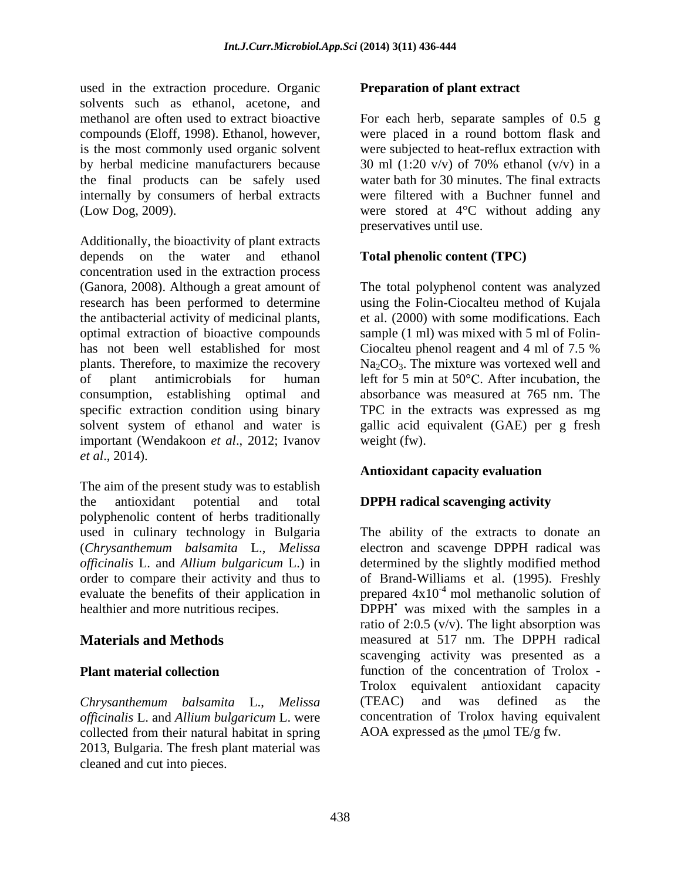used in the extraction procedure. Organic solvents such as ethanol, acetone, and is the most commonly used organic solvent the final products can be safely used internally by consumers of herbal extracts

Additionally, the bioactivity of plant extracts depends on the water and ethanol concentration used in the extraction process (Ganora, 2008). Although a great amount of The total polyphenol content was analyzed research has been performed to determine using the Folin-Ciocalteu method of Kujala the antibacterial activity of medicinal plants, et al. (2000) with some modifications. Each optimal extraction of bioactive compounds sample (1 ml) was mixed with 5 ml of Folin has not been well established for most Ciocalteu phenol reagent and 4 ml of 7.5 % plants. Therefore, to maximize the recovery  $Na_2CO_3$ . The mixture was vortexed well and of plant antimicrobials for human left for 5 min at 50°C. After incubation, the consumption, establishing optimal and absorbance was measured at 765 nm. The specific extraction condition using binary TPC in the extracts was expressed as mg solvent system of ethanol and water is gallic acid equivalent (GAE) per g fresh important (Wendakoon *et al*., 2012; Ivanov *et al*., 2014).

The aim of the present study was to establish the antioxidant potential and total **DPPH radical scavenging activity** polyphenolic content of herbs traditionally

*Chrysanthemum balsamita* L., *Melissa officinalis* L. and *Allium bulgaricum* L. were collected from their natural habitat in spring 2013, Bulgaria. The fresh plant material was cleaned and cut into pieces.

## **Preparation of plant extract**

methanol are often used to extract bioactive For each herb, separate samples of 0.5 g compounds (Eloff, 1998). Ethanol, however, were placed in a round bottom flask and by herbal medicine manufacturers because 30 ml (1:20 v/v) of 70% ethanol (v/v) in a (Low Dog, 2009). were stored at 4°C without adding any were subjected to heat-reflux extraction with water bath for 30 minutes. The final extracts were filtered with a Buchner funnel and preservatives until use.

## **Total phenolic content (TPC)**

Ciocalteu phenol reagent and 4 ml of 7.5 % weight (fw).

### **Antioxidant capacity evaluation**

used in culinary technology in Bulgaria The ability of the extracts to donate an (*Chrysanthemum balsamita* L., *Melissa*  electron and scavenge DPPH radical was *officinalis* L. and *Allium bulgaricum* L.) in determined by the slightly modified method order to compare their activity and thus to of Brand-Williams et al. (1995). Freshly evaluate the benefits of their application in prepared  $4x10^{-4}$  mol methanolic solution of healthier and more nutritious recipes. DPPH was mixed with the samples in a **Materials and Methods** measured at 517 nm. The DPPH radical **Plant material collection Example 1 Concentration of the concentration of Trolox** ratio of  $2:0.5$  (v/v). The light absorption was scavenging activity was presented as a Trolox equivalent antioxidant capacity (TEAC) and was defined as the concentration of Trolox having equivalent AOA expressed as the  $\mu$ mol TE/g fw.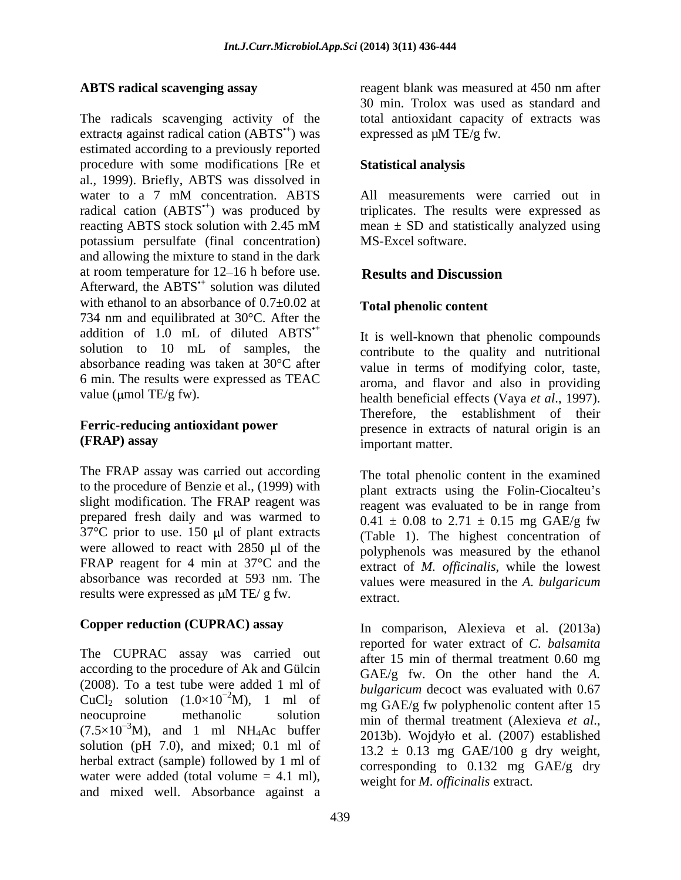The radicals scavenging activity of the total antioxidant capacity of extracts was extracts against radical cation  $(ABTS^*)$  was estimated according to a previously reported procedure with some modifications [Re et al., 1999). Briefly, ABTS was dissolved in water to a 7 mM concentration. ABTS All measurements were carried out in radical cation (ABTS<sup>\*+</sup>) was produced by triplicates. The results were expressed as reacting ABTS stock solution with 2.45 mM arean  $\pm$  SD and statistically analyzed using potassium persulfate (final concentration) and allowing the mixture to stand in the dark at room temperature for  $12-16$  h before use. Results and Discussion Afterward, the ABTS<sup>\*+</sup> solution was diluted solution was diluted solution was diluted by  $\mathcal{L}$ with ethanol to an absorbance of  $0.7\pm0.02$  at 734 nm and equilibrated at 30°C. After the addition of 1.0 mL of diluted ABTS<sup>\*+</sup> solution to 10 mL of samples, the contribute to the quality and nutritional absorbance reading was taken at 30°C after value in terms of modifying color, taste, 6 min. The results were expressed as TEAC

The FRAP assay was carried out according to the procedure of Benzie et al., (1999) with plant extracts using the Folin-Ciocalteu's slight modification. The FRAP reagent was prepared fresh daily and was warmed to  $37^{\circ}$ C prior to use. 150 µl of plant extracts were allowed to react with 2850 µl of the were allowed to react with  $2850 \mu l$  of the polyphenols was measured by the ethanol FRAP reagent for 4 min at  $37^{\circ}$ C and the extract of *M. officinalis*, while the lowest absorbance was recorded at 593 nm. The

The CUPRAC assay was carried out according to the procedure of Ak and Gülcin (2008). To a test tube were added 1 ml of CuCl<sub>2</sub> solution  $(1.0 \times 10^{-2} M)$ , 1 ml of<br>neocuproine methanolic solution  $(7.5 \times 10^{-3} M)$ , and 1 ml NH<sub>4</sub>Ac buffer  $2013b$ ). Wojdyło et al. (2007) established solution ( $pH$  7.0), and mixed; 0.1 ml of herbal extract (sample) followed by 1 ml of water were added (total volume  $= 4.1$  ml), and mixed well. Absorbance against a

**ABTS radical scavenging assay** reagent blank was measured at 450 nm after ) was expressed as  $\mu$ M TE/g fw. reagent blank was measured at 450 nm after 30 min. Trolox was used as standard and

## **Statistical analysis**

All measurements were carried out in mean  $\pm$  SD and statistically analyzed using MS-Excel software.

## **Results and Discussion**

## **Total phenolic content**

value (µmol TE/g fw). health beneficial effects (Vaya *et al.*, 1997). **Ferric-reducing antioxidant power** presence in extracts of natural origin is an **(FRAP) assay** It is well-known that phenolic compounds aroma, and flavor and also in providing Therefore, the establishment of their important matter.

results were expressed as  $\mu$ M TE/g fw. extract. The total phenolic content in the examined reagent was evaluated to be in range from  $0.41 \pm 0.08$  to  $2.71 \pm 0.15$  mg GAE/g fw (Table 1). The highest concentration of values were measured in the *A. bulgaricum* extract.

**Copper reduction (CUPRAC) assay**  In comparison, Alexieva et al. (2013a)  $^{2}$ M), 1 ml of  $^{2}$  mg GAE/g fw polyphenolic content after 15 solution min of thermal treatment (Alexieva *et al.*, reported for water extract of *C. balsamita* after 15 min of thermal treatment 0.60 mg GAE/g fw. On the other hand the *A. bulgaricum* decoct was evaluated with 0.67 min of thermal treatment (Alexieva *et al.*, 2013b). Wojdyło et al. (2007) established  $13.2 \pm 0.13$  mg GAE/100 g dry weight, corresponding to 0.132 mg GAE/g dry weight for *M. officinalis* extract.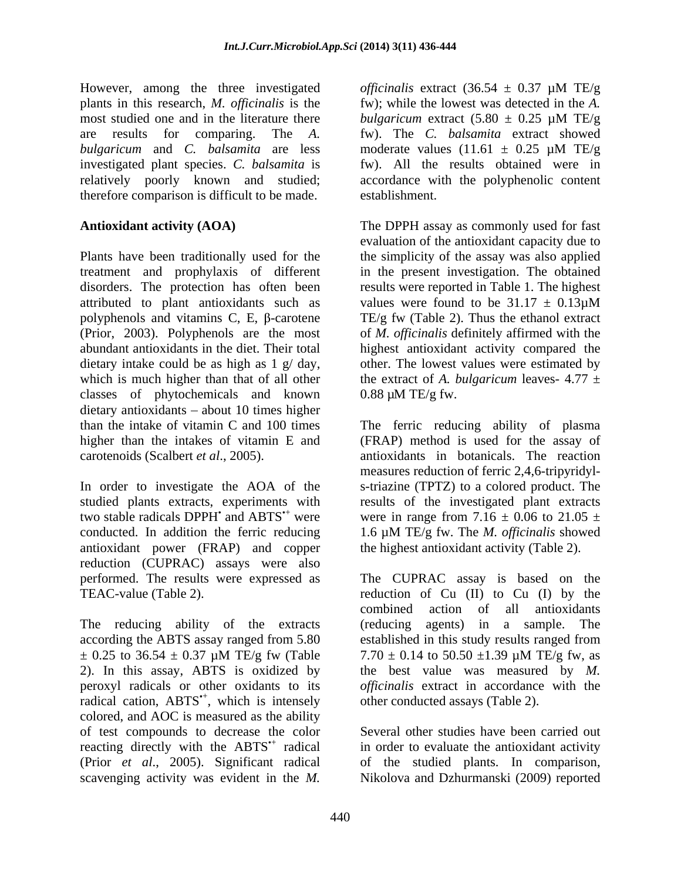However, among the three investigated officinalis extract  $(36.54 \pm 0.37 \mu M)$  TE/g plants in this research, *M. officinalis* is the fw); while the lowest was detected in the *A*. most studied one and in the literature there *bulgaricum* extract  $(5.80 \pm 0.25 \mu M)$  TE/g are results for comparing. The *A.* fw). The *C. balsamita* extract showed *bulgaricum* and *C. balsamita* are less moderate values  $(11.61 \pm 0.25 \mu M)$  TE/g investigated plant species. *C. balsamita* is relatively poorly known and studied; accordance with the polyphenolic content therefore comparison is difficult to be made.

Plants have been traditionally used for the the simplicity of the assay was also applied treatment and prophylaxis of different disorders. The protection has often been attributed to plant antioxidants such as values were found to be  $31.17 \pm 0.13 \mu M$ polyphenols and vitamins C, E,  $\beta$ -carotene TE/g fw (Table 2). Thus the ethanol extract (Prior, 2003). Polyphenols are the most of *M. of icinalis* definitely affirmed with the abundant antioxidants in the diet. Their total highest antioxidant activity compared the dietary intake could be as high as  $1 \text{ g}/\text{day}$ , other. The lowest values were estimated by which is much higher than that of all other classes of phytochemicals and known  $d$ ietary antioxidants – about 10 times higher than the intake of vitamin C and 100 times The ferric reducing ability of plasma higher than the intakes of vitamin E and (FRAP) method is used for the assay of carotenoids (Scalbert *et al*., 2005). antioxidants in botanicals. The reaction

two stable radicals DPPH' and ABTS<sup>\*+</sup> were conducted. In addition the ferric reducing  $1.6 \mu M TE/g$  fw. The *M. officinalis* showed antioxidant power (FRAP) and copper reduction (CUPRAC) assays were also performed. The results were expressed as The CUPRAC assay is based on the

The reducing ability of the extracts (reducing agents) in a sample. The radical cation, ABTS<sup>\*+</sup>, which is intensely colored, and AOC is measured as the ability of test compounds to decrease the color reacting directly with the  $ABTS^+$  radical (Prior *et al*., 2005). Significant radical of the studied plants. In comparison, scavenging activity was evident in the *M.*  Nikolova and Dzhurmanski (2009) reported

*officinalis* extract (36.54 ± 0.37 µM TE/g *bulgaricum* extract (5.80 ± 0.25 µM TE/g moderate values  $(11.61 \pm 0.25 \mu \text{M} \text{ TE/g})$ fw). All the results obtained were in

**Antioxidant activity (AOA)** The DPPH assay as commonly used for fast establishment.<br>The DPPH assay as commonly used for fast evaluation of the antioxidant capacity due to in the present investigation. The obtained results were reported in Table 1. The highest values were found to be  $31.17 \pm 0.13 \mu M$ the extract of *A. bulgaricum* leaves-  $4.77 \pm$  $0.88 \mu M$  TE/g fw.

In order to investigate the AOA of the s-triazine (TPTZ) to a colored product. The studied plants extracts, experiments with results of the investigated plant extracts measures reduction of ferric 2,4,6-tripyridyl were in range from 7.16  $\pm$  0.06 to 21.05  $\pm$ 1.6 μM TE/g fw. The *M. officinalis* showed

TEAC-value (Table 2). TEAC-value (Table 2). according the ABTS assay ranged from 5.80 established in this study results ranged from  $\pm$  0.25 to 36.54  $\pm$  0.37 µM TE/g fw (Table 7.70  $\pm$  0.14 to 50.50  $\pm$ 1.39 µM TE/g fw, as 2). In this assay, ABTS is oxidized by the best value was measured by *M.*  peroxyl radicals or other oxidants to its *officinalis* extract in accordance with the , which is intensely other conducted assays (Table 2). the highest antioxidant activity (Table 2).<br>The CUPRAC assay is based on the combined action of all antioxidants (reducing agents) in a sample.  $7.70 \pm 0.14$  to  $50.50 \pm 1.39$  µM TE/g fw, as

radical in order to evaluate the antioxidant activity Several other studies have been carried out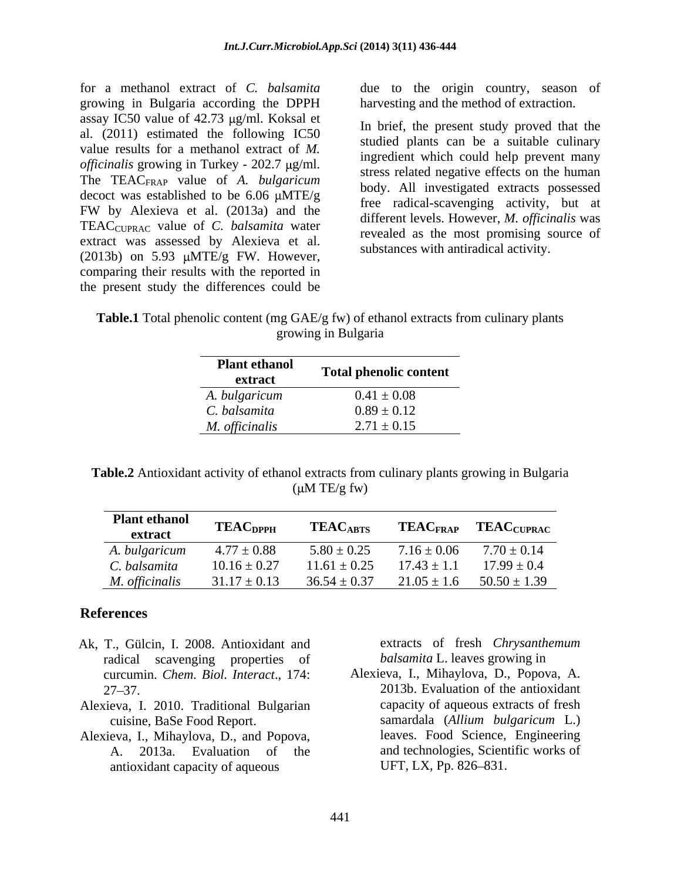growing in Bulgaria according the DPPH assay IC50 value of  $42.73 \mu g/ml$ . Koksal et al. (2011) estimated the following IC50 value results for a methanol extract of *M. officinalis* growing in Turkey - 202.7 µg/ml. The TEACFRAP value of *A. bulgaricum* decoct was established to be  $6.06 \mu MTE/g$ TEACCUPRAC value of *C. balsamita* water extract was assessed by Alexieva et al. (2013b) on 5.93  $\mu$ MTE/g FW. However, comparing their results with the reported in the present study the differences could be

for a methanol extract of *C. balsamita* due to the origin country, season of harvesting and the method of extraction.

FW by Alexieva et al.  $(2013a)$  and the  $\frac{1}{2}$  different levels. However, M, officialisms In brief, the present study proved that the studied plants can be a suitable culinary ingredient which could help prevent many stress related negative effects on the human body. All investigated extracts possessed free radical-scavenging activity, but at different levels. However, *M. officinalis* was revealed as the most promising source of substances with antiradical activity.

**Table.1** Total phenolic content (mg GAE/g fw) of ethanol extracts from culinary plants growing in Bulgaria

| <b>Plant ethanol</b> | <b>Total phenolic content</b>      |
|----------------------|------------------------------------|
| extract              |                                    |
| A. bulgaricum        | $0.41 \pm 0.08$                    |
| C. balsamita         | $0.89 \pm 0.12$<br>$2.71 \pm 0.15$ |
| M. officinalis       |                                    |

**Table.2** Antioxidant activity of ethanol extracts from culinary plants growing in Bulgaria  $(\mu M TE/g f w)$ 

| Plant ethanol<br>EAC <sub>DPPH</sub> TEAC <sub>ABTS</sub> TEAC <sub>FRAP</sub> TEAC <sub>CUPRAC</sub><br>TEAC <sub>FRAP</sub> TEAC <sub>CUPRAC</sub> |  |  |
|------------------------------------------------------------------------------------------------------------------------------------------------------|--|--|
|                                                                                                                                                      |  |  |
| A. bulgaricum $4.77 \pm 0.88$ $5.80 \pm 0.25$ $7.16 \pm 0.06$ $7.70 \pm 0.14$                                                                        |  |  |
| C. balsamita $10.16 \pm 0.27$ $11.61 \pm 0.25$ $17.43 \pm 1.1$ $17.99 \pm 0.4$                                                                       |  |  |
| <i>M. officinalis</i> $31.17 \pm 0.13$ $36.54 \pm 0.37$ $21.05 \pm 1.6$ $50.50 \pm 1.39$                                                             |  |  |

### **References**

- Ak, T., Gülcin, I. 2008. Antioxidant and radical scavenging properties of
- Alexieva, I. 2010. Traditional Bulgarian
- Alexieva, I., Mihaylova, D., and Popova, antioxidant capacity of aqueous UFT, LX, Pp. 826–831.

extracts of fresh *Chrysanthemum balsamita* L. leaves growing in

curcumin. *Chem. Biol. Interact*., 174: Alexieva, I., Mihaylova, D., Popova, A. 27 37. 2013b. Evaluation of the antioxidant cuisine, BaSe Food Report. Samardala (Allium bulgaricum L.) A. 2013a. Evaluation of the and technologies, Scientific works of capacity of aqueous extracts of fresh samardala (*Allium bulgaricum* L.) leaves. Food Science, Engineering UFT, LX, Pp. 826–831.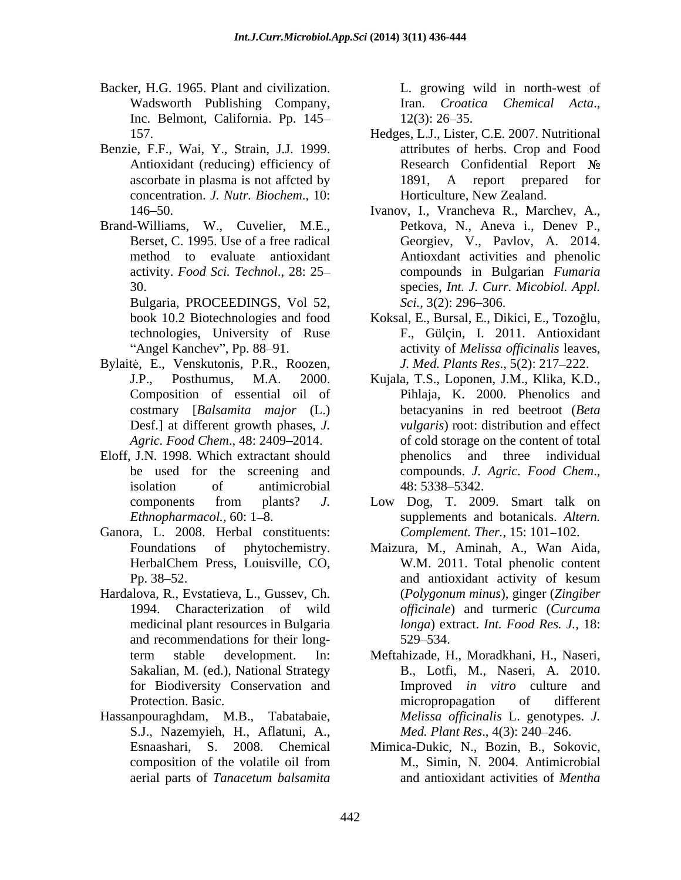- Backer, H.G. 1965. Plant and civilization. Inc. Belmont, California. Pp. 145– 12(3): 26–35.
- Benzie, F.F., Wai, Y., Strain, J.J. 1999. concentration. *J. Nutr. Biochem*., 10:
- Brand-Williams, W., Cuvelier, M.E.,

Bulgaria, PROCEEDINGS, Vol 52, Sci., 3(2): 296–306.

- Bylaitė, E., Venskutonis, P.R., Roozen, Desf.] at different growth phases, *J.*
- Eloff, J.N. 1998. Which extractant should
- Ganora, L. 2008. Herbal constituents:
- Hardalova, R., Evstatieva, L., Gussev, Ch. and recommendations for their long-<br>529–534. for Biodiversity Conservation and
- Hassanpouraghdam, M.B., Tabatabaie, S.J., Nazemyieh, H., Aflatuni, A., *Med. Plant Res.*, 4(3): 240–246.<br>Esnaashari, S. 2008. Chemical Mimica-Dukic, N., Bozin, B., Sokovic,

Wadsworth Publishing Company, Iran. Croatica Chemical Acta., L. growing wild in north-west of Iran. *Croatica Chemical Acta*., 12(3): 26 35.

- 157. Hedges, L.J., Lister, C.E. 2007. Nutritional Antioxidant (reducing) efficiency of **Research Confidential Report No** ascorbate in plasma is not affcted by 1891, A report prepared for attributes of herbs. Crop and Food Horticulture, New Zealand.
- 146 50. Ivanov, I., Vrancheva R., Marchev, A., Berset, C. 1995. Use of a free radical Georgiev, V., Pavlov, A. 2014. method to evaluate antioxidant Antioxdant activities and phenolic activity. *Food Sci. Technol*., 28: 25 compounds in Bulgarian *Fumaria* 30. species, *Int. J. Curr. Micobiol. Appl.* Petkova, N., Aneva i., Denev P., *Sci.,* 3(2): 296–306.
- book 10.2 Biotechnologies and food Koksal, E., Bursal, E., Dikici, E., Tozoğlu, technologies, University of Ruse F., Gülçin, I. 2011. Antioxidant Angel Kanchev", Pp. 88–91. The activity of *Melissa officinalis* leaves, *J. Med. Plants Res.*, 5(2): 217-222.
- J.P., Posthumus, M.A. 2000. Kujala, T.S., Loponen, J.M., Klika, K.D., Composition of essential oil of Pihlaja, K. 2000. Phenolics and costmary [*Balsamita major* (L.) betacyanins in red beetroot (*Beta*  Agric. Food Chem., 48: 2409–2014. **of cold storage on the content of total** be used for the screening and compounds. J. Agric. Food Chem., isolation of antimicrobial 48: 5338–5342. *vulgaris*) root: distribution and effect phenolics and three individual compounds. *J. Agric. Food Chem*., 48: 5338 5342.
- components from plants? *J.*  Low Dog, T. 2009. Smart talk on *Ethnopharmacol.,* 60: 1–8. supplements and botanicals. Altern. *Complement. Ther.*, 15: 101-102.
- Foundations of phytochemistry. Maizura, M., Aminah, A., Wan Aida, HerbalChem Press, Louisville, CO, W.M. 2011. Total phenolic content Pp. 38–52. and antioxidant activity of kesum 1994. Characterization of wild *officinale*) and turmeric (*Curcuma*  medicinal plant resources in Bulgaria *longa*) extract. *Int. Food Res. J.*, 18: W.M. 2011. Total phenolic content and antioxidant activity of kesum (*Polygonum minus*), ginger (*Zingiber*  529 534.
- term stable development. In: Meftahizade, H., Moradkhani, H., Naseri, Sakalian, M. (ed.), National Strategy B., Lotfi, M., Naseri, A. 2010. Protection. Basic. The micropropagation of different Improved *in vitro* culture and micropropagation of different *Melissa of icinalis* L. genotypes. *J. Med. Plant Res.*, 4(3): 240-246.
- composition of the volatile oil from M., Simin, N. 2004. Antimicrobial aerial parts of *Tanacetum balsamita* M., Simin, N. 2004. Antimicrobial and antioxidant activities of *Mentha*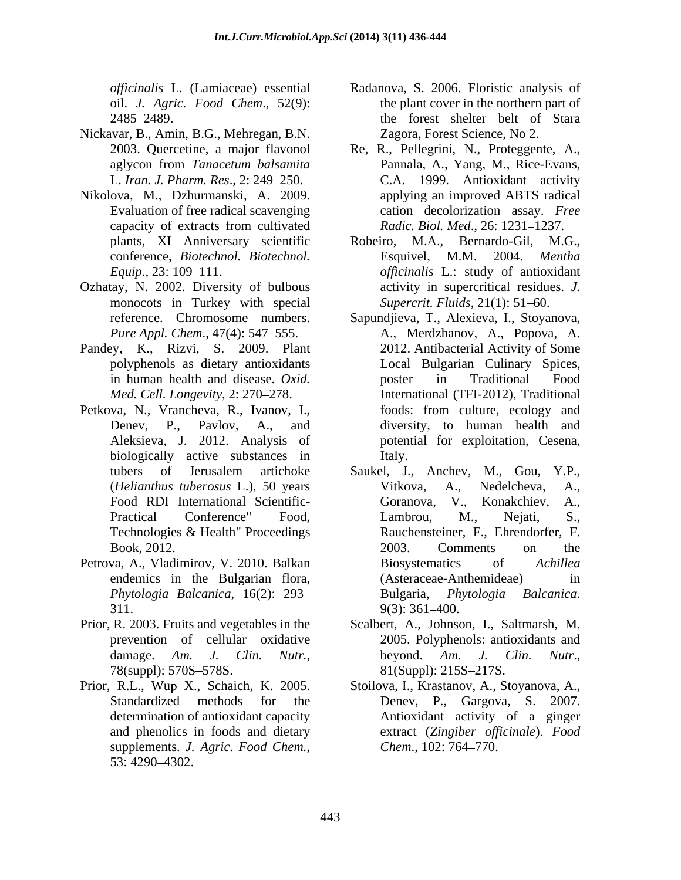oil. *J. Agric. Food Chem*., 52(9):

- Nickavar, B., Amin, B.G., Mehregan, B.N. Zagora, Forest Science, No 2.<br>2003. Quercetine, a major flavonol Re, R., Pellegrini, N., Proteggente, A.,
- Nikolova, M., Dzhurmanski, A. 2009. plants, XI Anniversary scientific
- Ozhatay, N. 2002. Diversity of bulbous monocots in Turkey with special
- Pandey, K., Rizvi, S. 2009. Plant 2012. Antibacterial Activity of Some
- biologically active substances in Italy.
- Petrova, A., Vladimirov, V. 2010. Balkan Biosystematics of Achillea  $311.$   $9(3): 361-400.$
- Prior, R. 2003. Fruits and vegetables in the Scalbert, A., Johnson, I., Saltmarsh, M.
- Prior, R.L., Wup X., Schaich, K. 2005. Stoilova, I., Krastanov, A., Stoyanova, A., Standardized methods for the Denev, P., Gargova, S. 2007. supplements. *J. Agric. Food Chem.*, *Chem.*, 102: 764–770.<br>53: 4290–4302.
- *officinalis* L. (Lamiaceae) essential Radanova, S. 2006. Floristic analysis of 2485 2489. the forest shelter belt of Stara the plant cover in the northern part of Zagora, Forest Science, No 2.
- aglycon from *Tanacetum balsamita* L. *Iran. J. Pharm. Res*., 2: 249 250. C.A. 1999. Antioxidant activity Evaluation of free radical scavenging cation decolorization assay. *Free*  capacity of extracts from cultivated Radic. Biol. Med., 26: 1231–1237. Re, R., Pellegrini, N., Proteggente, A., Pannala, A., Yang, M., Rice-Evans, applying an improved ABTS radical *Radic. Biol. Med., 26: 1231-1237.*
- conference, *Biotechnol. Biotechnol. Equip*., 23: 109–111. The *officinalis* L.: study of antioxidant Robeiro, M.A., Bernardo-Gil, M.G., Esquivel, M.M. activity in supercritical residues. *J. Supercrit. Fluids*, 21(1): 51–60.
- reference. Chromosome numbers. Sapundieva, T., Alexieva, I., Stoyanova, *Pure Appl. Chem.,* 47(4): 547–555. A., Merdzhanov, A., Popova, A. polyphenols as dietary antioxidants in human health and disease. *Oxid. Med. Cell. Longevity*, 2: 270 278. International (TFI-2012), Traditional Petkova, N., Vrancheva, R., Ivanov, I., foods: from culture, ecology and Denev, P., Pavlov, A., and diversity, to human health and Aleksieva, J. 2012. Analysis of potential for exploitation, Cesena, Sapundjieva, T., Alexieva, I., Stoyanova, A., Merdzhanov, A., Popova, A. 2012. Antibacterial Activity of Some Local Bulgarian Culinary Spices, poster in Traditional Food foods: from culture, ecology and diversity, to human health and potential for exploitation, Cesena, Italy.
	- tubers of Jerusalem artichoke Saukel, J., Anchev, M., Gou, Y.P., (*Helianthus tuberosus* L.), 50 years Food RDI International Scientific-<br>
	Goranova, V., Konakchiev, A., Practical Conference" Food, Lambrou, M., Nejati, S.,<br>Technologies & Health" Proceedings Rauchensteiner, F., Ehrendorfer, F. Book, 2012. 2003. Comments on the endemics in the Bulgarian flora, (Asteraceae-Anthemideae) in *Phytologia Balcanica*, 16(2): 293 Saukel, J., Anchev, M., Gou, Y.P.,<br>Vitkova, A., Nedelcheva, A.,<br>Goranova, V., Konakchiev, A.,<br>Lambrou, M., Nejati, S.,<br>Rauchensteiner, F., Ehrendorfer, F.<br>2003. Comments on the Biosystematics of *Achillea* (Asteraceae-Anthemideae) in Bulgaria, *Phytologia Balcanica*. 9(3): 361 400.
	- prevention of cellular oxidative 2005. Polyphenols: antioxidants and damage. *Am. J. Clin. Nutr.*, beyond. *Am. J. Clin. Nutr.*, 78(suppl): 570S–578S. 81(Suppl): 215S–217S. Scalbert, A., Johnson, I., Saltmarsh, M. 2005. Polyphenols: antioxidants and beyond. *Am. J. Clin. Nutr.*,<br>81(Suppl): 215S–217S.
	- Standardized methods for the Deney, P., Gargova, S. 2007. determination of antioxidant capacity Antioxidant activity of a ginger and phenolics in foods and dietary extract (*Zingiber officinale*). *Food Chem.*, 102: 764–770.